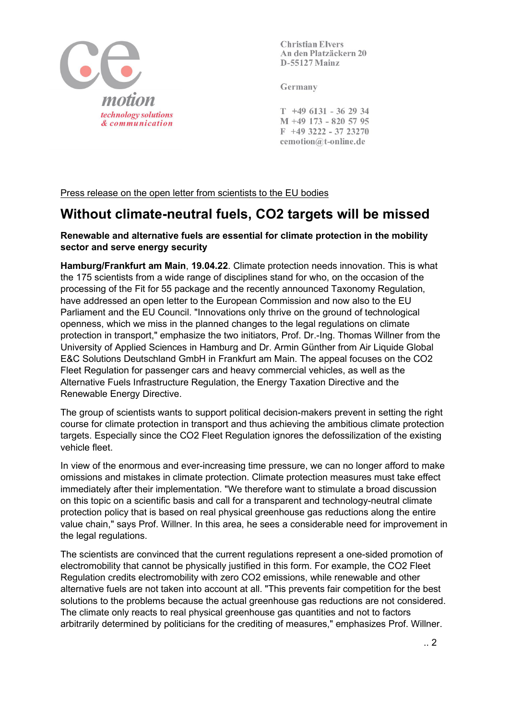

**Christian Elvers** An den Platzäckern 20 D-55127 Mainz

Germany

 $T$  +49 6131 - 36 29 34 M +49 173 - 820 57 95  $F$  +49 3222 - 37 23270 cemotion@t-online.de

Press release on the open letter from scientists to the EU bodies

## **Without climate-neutral fuels, CO2 targets will be missed**

## **Renewable and alternative fuels are essential for climate protection in the mobility sector and serve energy security**

**Hamburg/Frankfurt am Main**, **19.04.22**. Climate protection needs innovation. This is what the 175 scientists from a wide range of disciplines stand for who, on the occasion of the processing of the Fit for 55 package and the recently announced Taxonomy Regulation, have addressed an open letter to the European Commission and now also to the EU Parliament and the EU Council. "Innovations only thrive on the ground of technological openness, which we miss in the planned changes to the legal regulations on climate protection in transport," emphasize the two initiators, Prof. Dr.-Ing. Thomas Willner from the University of Applied Sciences in Hamburg and Dr. Armin Günther from Air Liquide Global E&C Solutions Deutschland GmbH in Frankfurt am Main. The appeal focuses on the CO2 Fleet Regulation for passenger cars and heavy commercial vehicles, as well as the Alternative Fuels Infrastructure Regulation, the Energy Taxation Directive and the Renewable Energy Directive.

The group of scientists wants to support political decision-makers prevent in setting the right course for climate protection in transport and thus achieving the ambitious climate protection targets. Especially since the CO2 Fleet Regulation ignores the defossilization of the existing vehicle fleet.

In view of the enormous and ever-increasing time pressure, we can no longer afford to make omissions and mistakes in climate protection. Climate protection measures must take effect immediately after their implementation. "We therefore want to stimulate a broad discussion on this topic on a scientific basis and call for a transparent and technology-neutral climate protection policy that is based on real physical greenhouse gas reductions along the entire value chain," says Prof. Willner. In this area, he sees a considerable need for improvement in the legal regulations.

The scientists are convinced that the current regulations represent a one-sided promotion of electromobility that cannot be physically justified in this form. For example, the CO2 Fleet Regulation credits electromobility with zero CO2 emissions, while renewable and other alternative fuels are not taken into account at all. "This prevents fair competition for the best solutions to the problems because the actual greenhouse gas reductions are not considered. The climate only reacts to real physical greenhouse gas quantities and not to factors arbitrarily determined by politicians for the crediting of measures," emphasizes Prof. Willner.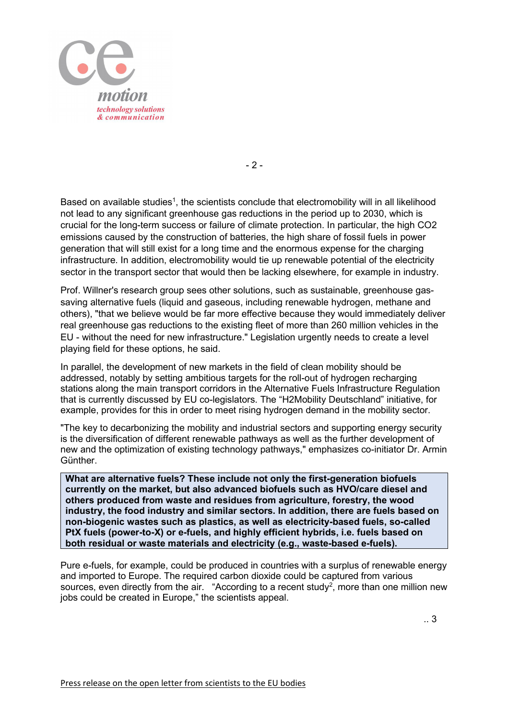

- 2 -

Based on available studies<sup>1</sup>, the scientists conclude that electromobility will in all likelihood not lead to any significant greenhouse gas reductions in the period up to 2030, which is crucial for the long-term success or failure of climate protection. In particular, the high CO2 emissions caused by the construction of batteries, the high share of fossil fuels in power generation that will still exist for a long time and the enormous expense for the charging infrastructure. In addition, electromobility would tie up renewable potential of the electricity sector in the transport sector that would then be lacking elsewhere, for example in industry.

Prof. Willner's research group sees other solutions, such as sustainable, greenhouse gassaving alternative fuels (liquid and gaseous, including renewable hydrogen, methane and others), "that we believe would be far more effective because they would immediately deliver real greenhouse gas reductions to the existing fleet of more than 260 million vehicles in the EU - without the need for new infrastructure." Legislation urgently needs to create a level playing field for these options, he said.

In parallel, the development of new markets in the field of clean mobility should be addressed, notably by setting ambitious targets for the roll-out of hydrogen recharging stations along the main transport corridors in the Alternative Fuels Infrastructure Regulation that is currently discussed by EU co-legislators. The "H2Mobility Deutschland" initiative, for example, provides for this in order to meet rising hydrogen demand in the mobility sector.

"The key to decarbonizing the mobility and industrial sectors and supporting energy security is the diversification of different renewable pathways as well as the further development of new and the optimization of existing technology pathways," emphasizes co-initiator Dr. Armin Günther.

**What are alternative fuels? These include not only the first-generation biofuels currently on the market, but also advanced biofuels such as HVO/care diesel and others produced from waste and residues from agriculture, forestry, the wood industry, the food industry and similar sectors. In addition, there are fuels based on non-biogenic wastes such as plastics, as well as electricity-based fuels, so-called PtX fuels (power-to-X) or e-fuels, and highly efficient hybrids, i.e. fuels based on both residual or waste materials and electricity (e.g., waste-based e-fuels).**

Pure e-fuels, for example, could be produced in countries with a surplus of renewable energy and imported to Europe. The required carbon dioxide could be captured from various sources, even directly from the air. "According to a recent study<sup>2</sup>, more than one million new jobs could be created in Europe," the scientists appeal.